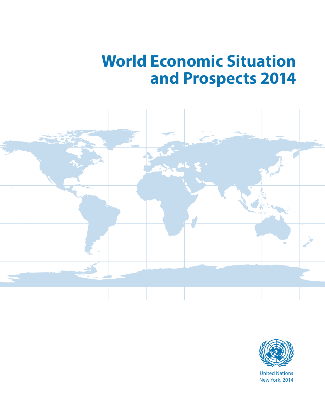# **World Economic Situation and Prospects 2014**





United Nations New York, 2014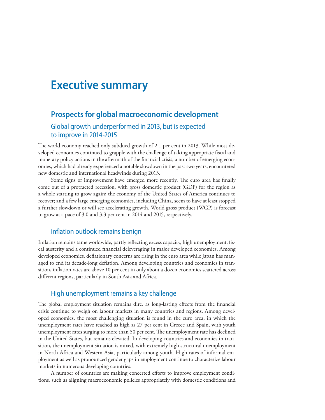# **Executive summary**

# **Prospects for global macroeconomic development**

#### Global growth underperformed in 2013, but is expected to improve in 2014-2015

The world economy reached only subdued growth of 2.1 per cent in 2013. While most developed economies continued to grapple with the challenge of taking appropriate fiscal and monetary policy actions in the aftermath of the financial crisis, a number of emerging economies, which had already experienced a notable slowdown in the past two years, encountered new domestic and international headwinds during 2013.

Some signs of improvement have emerged more recently. The euro area has finally come out of a protracted recession, with gross domestic product (GDP) for the region as a whole starting to grow again; the economy of the United States of America continues to recover; and a few large emerging economies, including China, seem to have at least stopped a further slowdown or will see accelerating growth. World gross product (WGP) is forecast to grow at a pace of 3.0 and 3.3 per cent in 2014 and 2015, respectively.

#### Inflation outlook remains benign

Inflation remains tame worldwide, partly reflecting excess capacity, high unemployment, fiscal austerity and a continued financial deleveraging in major developed economies. Among developed economies, deflationary concerns are rising in the euro area while Japan has managed to end its decade-long deflation. Among developing countries and economies in transition, inflation rates are above 10 per cent in only about a dozen economies scattered across different regions, particularly in South Asia and Africa.

#### High unemployment remains a key challenge

The global employment situation remains dire, as long-lasting effects from the financial crisis continue to weigh on labour markets in many countries and regions. Among developed economies, the most challenging situation is found in the euro area, in which the unemployment rates have reached as high as 27 per cent in Greece and Spain, with youth unemployment rates surging to more than 50 per cent. The unemployment rate has declined in the United States, but remains elevated. In developing countries and economies in transition, the unemployment situation is mixed, with extremely high structural unemployment in North Africa and Western Asia, particularly among youth. High rates of informal employment as well as pronounced gender gaps in employment continue to characterize labour markets in numerous developing countries.

A number of countries are making concerted efforts to improve employment conditions, such as aligning macroeconomic policies appropriately with domestic conditions and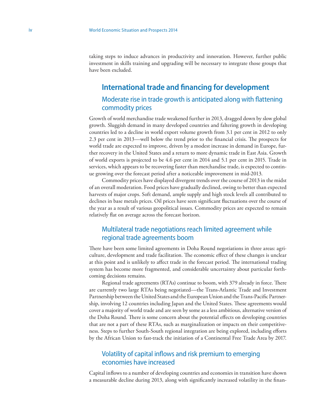taking steps to induce advances in productivity and innovation. However, further public investment in skills training and upgrading will be necessary to integrate those groups that have been excluded.

# **International trade and financing for development**

#### Moderate rise in trade growth is anticipated along with flattening commodity prices

Growth of world merchandise trade weakened further in 2013, dragged down by slow global growth. Sluggish demand in many developed countries and faltering growth in developing countries led to a decline in world export volume growth from 3.1 per cent in 2012 to only 2.3 per cent in 2013—well below the trend prior to the financial crisis. The prospects for world trade are expected to improve, driven by a modest increase in demand in Europe, further recovery in the United States and a return to more dynamic trade in East Asia. Growth of world exports is projected to be 4.6 per cent in 2014 and 5.1 per cent in 2015. Trade in services, which appears to be recovering faster than merchandise trade, is expected to continue growing over the forecast period after a noticeable improvement in mid-2013.

Commodity prices have displayed divergent trends over the course of 2013 in the midst of an overall moderation. Food prices have gradually declined, owing to better than expected harvests of major crops. Soft demand, ample supply and high stock levels all contributed to declines in base metals prices. Oil prices have seen significant fluctuations over the course of the year as a result of various geopolitical issues. Commodity prices are expected to remain relatively flat on average across the forecast horizon.

#### Multilateral trade negotiations reach limited agreement while regional trade agreements boom

There have been some limited agreements in Doha Round negotiations in three areas: agriculture, development and trade facilitation. The economic effect of these changes is unclear at this point and is unlikely to affect trade in the forecast period. The international trading system has become more fragmented, and considerable uncertainty about particular forthcoming decisions remains.

Regional trade agreements (RTAs) continue to boom, with 379 already in force. There are currently two large RTAs being negotiated—the Trans-Atlantic Trade and Investment Partnership between the United States and the European Union and the Trans-Pacific Partnership, involving 12 countries including Japan and the United States. These agreements would cover a majority of world trade and are seen by some as a less ambitious, alternative version of the Doha Round. There is some concern about the potential effects on developing countries that are not a part of these RTAs, such as marginalization or impacts on their competitiveness. Steps to further South-South regional integration are being explored, including efforts by the African Union to fast-track the initiation of a Continental Free Trade Area by 2017.

#### Volatility of capital inflows and risk premium to emerging economies have increased

Capital inflows to a number of developing countries and economies in transition have shown a measurable decline during 2013, along with significantly increased volatility in the finan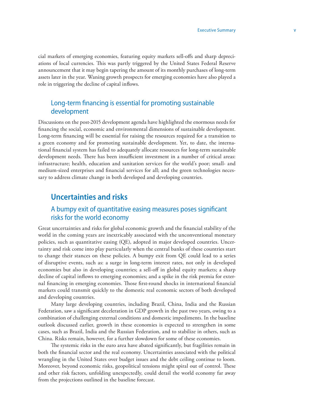cial markets of emerging economies, featuring equity markets sell-offs and sharp depreciations of local currencies. This was partly triggered by the United States Federal Reserve announcement that it may begin tapering the amount of its monthly purchases of long-term assets later in the year. Waning growth prospects for emerging economies have also played a role in triggering the decline of capital inflows.

#### Long-term financing is essential for promoting sustainable development

Discussions on the post-2015 development agenda have highlighted the enormous needs for financing the social, economic and environmental dimensions of sustainable development. Long-term financing will be essential for raising the resources required for a transition to a green economy and for promoting sustainable development. Yet, to date, the international financial system has failed to adequately allocate resources for long-term sustainable development needs. There has been insufficient investment in a number of critical areas: infrastructure; health, education and sanitation services for the world's poor; small- and medium-sized enterprises and financial services for all; and the green technologies necessary to address climate change in both developed and developing countries.

# **Uncertainties and risks**

#### A bumpy exit of quantitative easing measures poses significant risks for the world economy

Great uncertainties and risks for global economic growth and the financial stability of the world in the coming years are inextricably associated with the unconventional monetary policies, such as quantitative easing (QE), adopted in major developed countries. Uncertainty and risk come into play particularly when the central banks of these countries start to change their stances on these policies. A bumpy exit from QE could lead to a series of disruptive events, such as: a surge in long-term interest rates, not only in developed economies but also in developing countries; a sell-off in global equity markets; a sharp decline of capital inflows to emerging economies; and a spike in the risk premia for external financing in emerging economies. Those first-round shocks in international financial markets could transmit quickly to the domestic real economic sectors of both developed and developing countries.

Many large developing countries, including Brazil, China, India and the Russian Federation, saw a significant deceleration in GDP growth in the past two years, owing to a combination of challenging external conditions and domestic impediments. In the baseline outlook discussed earlier, growth in these economies is expected to strengthen in some cases, such as Brazil, India and the Russian Federation, and to stabilize in others, such as China. Risks remain, however, for a further slowdown for some of these economies.

The systemic risks in the euro area have abated significantly, but fragilities remain in both the financial sector and the real economy. Uncertainties associated with the political wrangling in the United States over budget issues and the debt ceiling continue to loom. Moreover, beyond economic risks, geopolitical tensions might spiral out of control. These and other risk factors, unfolding unexpectedly, could derail the world economy far away from the projections outlined in the baseline forecast.